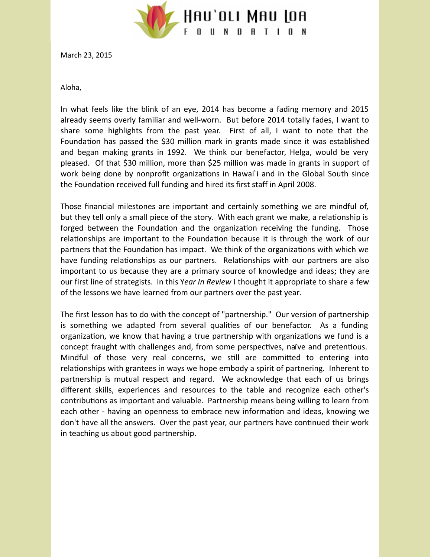

March 23, 2015

Aloha,

In what feels like the blink of an eye, 2014 has become a fading memory and 2015 already seems overly familiar and well-worn. But before 2014 totally fades, I want to share some highlights from the past year. First of all, I want to note that the Foundation has passed the \$30 million mark in grants made since it was established and began making grants in 1992. We think our benefactor, Helga, would be very pleased. Of that \$30 million, more than \$25 million was made in grants in support of work being done by nonprofit organizations in Hawai'i and in the Global South since the Foundation received full funding and hired its first staff in April 2008.

Those financial milestones are important and certainly something we are mindful of, but they tell only a small piece of the story. With each grant we make, a relationship is forged between the Foundation and the organization receiving the funding. Those relationships are important to the Foundation because it is through the work of our partners that the Foundation has impact. We think of the organizations with which we have funding relationships as our partners. Relationships with our partners are also important to us because they are a primary source of knowledge and ideas; they are our first line of strategists. In this Y*ear In Review* I thought it appropriate to share a few of the lessons we have learned from our partners over the past year.

The first lesson has to do with the concept of "partnership." Our version of partnership is something we adapted from several qualities of our benefactor. As a funding organization, we know that having a true partnership with organizations we fund is a concept fraught with challenges and, from some perspectives, naïve and pretentious. Mindful of those very real concerns, we still are committed to entering into relationships with grantees in ways we hope embody a spirit of partnering. Inherent to partnership is mutual respect and regard. We acknowledge that each of us brings different skills, experiences and resources to the table and recognize each other's contributions as important and valuable. Partnership means being willing to learn from each other - having an openness to embrace new information and ideas, knowing we don't have all the answers. Over the past year, our partners have continued their work in teaching us about good partnership.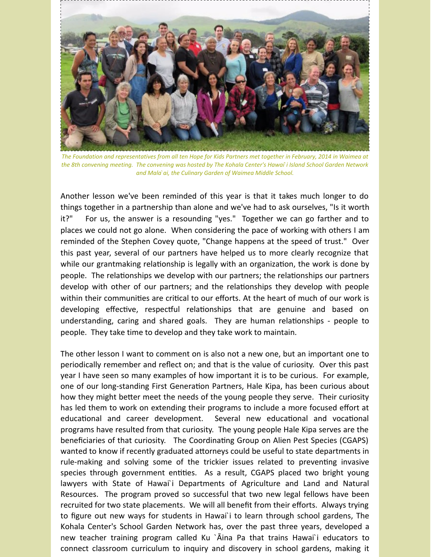

The Foundation and representatives from all ten Hope for Kids Partners met together in February, 2014 in Waimea at the 8th convening meeting. The convening was hosted by The Kohala Center's Hawai i Island School Garden Network *and Mala`ai, the Culinary Garden of Waimea Middle School.*

Another lesson we've been reminded of this year is that it takes much longer to do things together in a partnership than alone and we've had to ask ourselves, "Is it worth it?" For us, the answer is a resounding "yes." Together we can go farther and to places we could not go alone. When considering the pace of working with others I am reminded of the Stephen Covey quote, "Change happens at the speed of trust." Over this past year, several of our partners have helped us to more clearly recognize that while our grantmaking relationship is legally with an organization, the work is done by people. The relationships we develop with our partners; the relationships our partners develop with other of our partners; and the relationships they develop with people within their communities are critical to our efforts. At the heart of much of our work is developing effective, respectful relationships that are genuine and based on understanding, caring and shared goals. They are human relationships - people to people. They take time to develop and they take work to maintain.

The other lesson I want to comment on is also not a new one, but an important one to periodically remember and reflect on; and that is the value of curiosity. Over this past year I have seen so many examples of how important it is to be curious. For example, one of our long-standing First Generation Partners, Hale Kipa, has been curious about how they might better meet the needs of the young people they serve. Their curiosity has led them to work on extending their programs to include a more focused effort at educational and career development. Several new educational and vocational programs have resulted from that curiosity. The young people Hale Kipa serves are the beneficiaries of that curiosity. The Coordinating Group on Alien Pest Species (CGAPS) wanted to know if recently graduated attorneys could be useful to state departments in rule-making and solving some of the trickier issues related to preventing invasive species through government entities. As a result, CGAPS placed two bright young lawyers with State of Hawai`i Departments of Agriculture and Land and Natural Resources. The program proved so successful that two new legal fellows have been recruited for two state placements. We will all benefit from their efforts. Always trying to figure out new ways for students in Hawai`i to learn through school gardens, The Kohala Center's School Garden Network has, over the past three years, developed a new teacher training program called Ku `Āina Pa that trains Hawai`i educators to connect classroom curriculum to inquiry and discovery in school gardens, making it